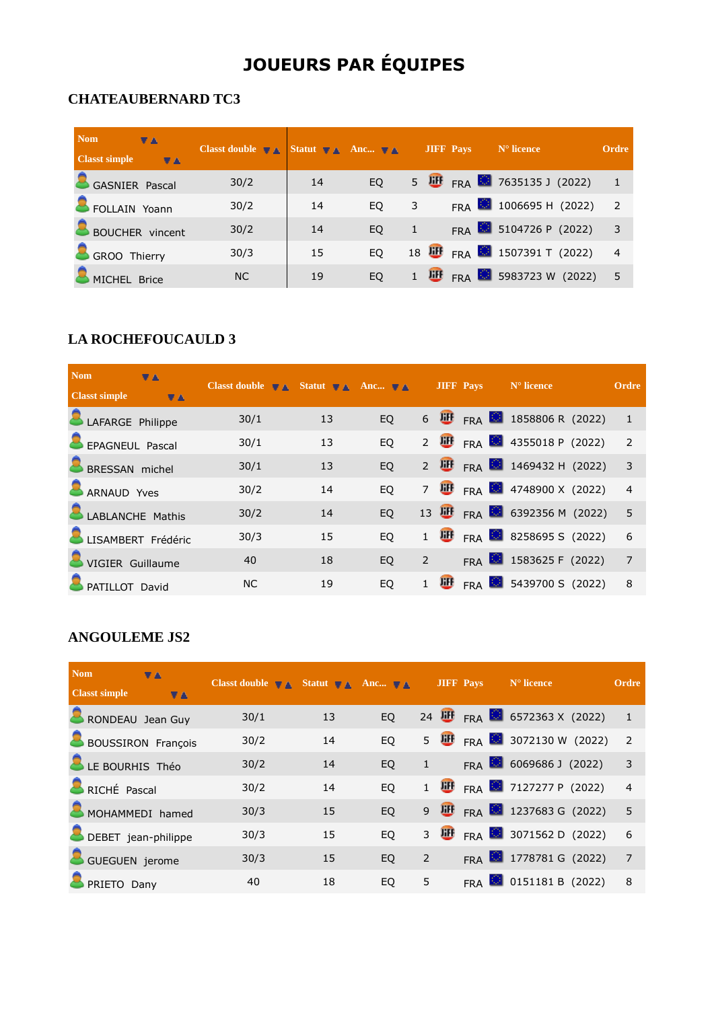# **JOUEURS PAR ÉQUIPES**

#### **CHATEAUBERNARD TC3**

| <b>Nom</b><br>VA.<br><b>Classt simple</b><br><b>VA</b> | Classt double $\mathbf{\nabla} \mathbf{A}$ Statut $\mathbf{\nabla} \mathbf{A}$ Anc $\mathbf{\nabla} \mathbf{A}$ |    |     |   | <b>JIFF Pays</b> | $N^{\circ}$ licence                                  | Ordre          |
|--------------------------------------------------------|-----------------------------------------------------------------------------------------------------------------|----|-----|---|------------------|------------------------------------------------------|----------------|
| <b>GASNIER Pascal</b>                                  | 30/2                                                                                                            | 14 | EQ. |   |                  | 5 $\overline{u}$ FRA $\overline{3}$ 7635135 J (2022) |                |
| FOLLAIN Yoann                                          | 30/2                                                                                                            | 14 | EO  | 3 |                  | FRA $\frac{1006695 \text{ H}}{2022}$                 | 2              |
| <b>BOUCHER</b> vincent                                 | 30/2                                                                                                            | 14 | EQ. |   |                  | FRA $\frac{1}{2}$ 5104726 P (2022)                   | 3              |
| GROO Thierry                                           | 30/3                                                                                                            | 15 | EO  |   |                  | 18 JUF FRA 3 1507391 T (2022)                        | $\overline{4}$ |
| MICHEL Brice                                           | NC                                                                                                              | 19 | EQ. |   |                  | $\frac{100}{100}$ FRA 3 5983723 W (2022)             | - 5            |

# **LA ROCHEFOUCAULD 3**

| <b>Nom</b>           | VA.                | <b>Classt double <math>\mathbf{\nabla} \mathbf{A}</math></b> Statut $\mathbf{\nabla} \mathbf{A}$ Anc $\mathbf{\nabla} \mathbf{A}$ |    |           |   | JIFF Pays | $No$ licence                             | Ordre                      |
|----------------------|--------------------|-----------------------------------------------------------------------------------------------------------------------------------|----|-----------|---|-----------|------------------------------------------|----------------------------|
| <b>Classt simple</b> | <b>VA</b>          |                                                                                                                                   |    |           |   |           |                                          |                            |
| LAFARGE Philippe     |                    | 30/1                                                                                                                              | 13 | <b>EQ</b> |   |           | 6 $\overline{u}$ FRA 388806 R (2022)     |                            |
| EPAGNEUL Pascal      |                    | 30/1                                                                                                                              | 13 | <b>EQ</b> |   |           | 2 $\overline{u}$ FRA 355018 P (2022)     | $\overline{2}$             |
| BRESSAN michel       |                    | 30/1                                                                                                                              | 13 | <b>EQ</b> |   |           | 2 III FRA 3 1469432 H (2022)             | $\overline{\phantom{a}}$ 3 |
| ARNAUD Yves          |                    | 30/2                                                                                                                              | 14 | <b>EO</b> |   |           | 7 III FRA 34748900 X (2022)              | $\overline{4}$             |
| LABLANCHE Mathis     |                    | 30/2                                                                                                                              | 14 | EQ        |   |           | 13 III FRA 6392356 M (2022)              | $-5$                       |
|                      | LISAMBERT Frédéric | 30/3                                                                                                                              | 15 | <b>EQ</b> |   |           | 1 $\frac{100}{100}$ FRA 3258695 S (2022) | 6                          |
| VIGIER Guillaume     |                    | 40                                                                                                                                | 18 | <b>EQ</b> | 2 |           | FRA 3583625 F (2022)                     | $\overline{7}$             |
| PATILLOT David       |                    | <b>NC</b>                                                                                                                         | 19 | <b>EO</b> |   |           | FRA $\frac{1}{2}$ 5439700 S (2022)       | 8                          |

#### **ANGOULEME JS2**

| <b>Nom</b>           | VA.                       | Classt double $\mathbf{\nabla} \mathbf{A}$ Statut $\mathbf{\nabla} \mathbf{A}$ Anc $\mathbf{\nabla} \mathbf{A}$ |    |           |                | <b>JIFF Pays</b> | $No$ licence                                          | <b>Ordre</b>   |
|----------------------|---------------------------|-----------------------------------------------------------------------------------------------------------------|----|-----------|----------------|------------------|-------------------------------------------------------|----------------|
| <b>Classt simple</b> | VA.                       |                                                                                                                 |    |           |                |                  |                                                       |                |
| RONDEAU Jean Guy     |                           | 30/1                                                                                                            | 13 | <b>EQ</b> |                |                  | 24 $\overline{H}$ FRA $\overline{S}$ 6572363 X (2022) |                |
|                      | <b>BOUSSIRON François</b> | 30/2                                                                                                            | 14 | EQ        |                |                  | 5 $\overline{u}$ FRA $\overline{u}$ 3072130 W (2022)  | $\overline{2}$ |
| LE BOURHIS Théo      |                           | 30/2                                                                                                            | 14 | EQ        | $\mathbf{1}$   |                  | FRA $6069686$ J (2022)                                | $\overline{3}$ |
| RICHÉ Pascal         |                           | 30/2                                                                                                            | 14 | <b>EO</b> |                |                  | 1 $\overline{H}$ FRA 2 7127277 P (2022)               | $\overline{4}$ |
|                      | MOHAMMEDI hamed           | 30/3                                                                                                            | 15 | <b>EQ</b> |                |                  | 9 III FRA 3 1237683 G (2022)                          | $-5$           |
| DEBET jean-philippe  |                           | 30/3                                                                                                            | 15 | EQ        |                |                  | 3 $\overline{u}$ FRA 3071562 D (2022)                 | 6              |
| GUEGUEN jerome       |                           | 30/3                                                                                                            | 15 | EQ        | $\overline{2}$ |                  | FRA 3 1778781 G (2022)                                | $\overline{7}$ |
| PRIETO Dany          |                           | 40                                                                                                              | 18 | EQ        | 5              |                  | FRA $\bigcirc$ 0151181 B (2022)                       | 8              |